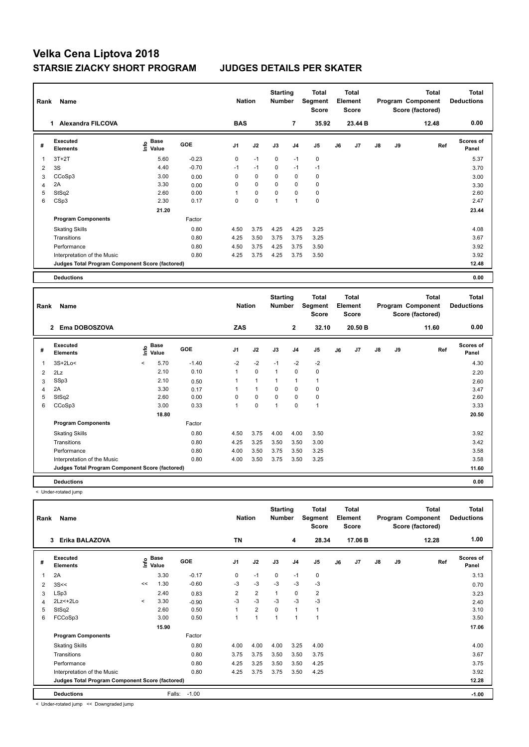# **Velka Cena Liptova 2018 STARSIE ZIACKY SHORT PROGRAM JUDGES DETAILS PER SKATER**

| Rank | Name                                            | <b>Nation</b>                    |            | <b>Starting</b><br><b>Number</b> |             | <b>Total</b><br>Segment<br><b>Score</b> | Total<br>Element<br><b>Score</b> |                |    |         | <b>Total</b><br>Program Component<br>Score (factored) | Total<br><b>Deductions</b> |       |                           |
|------|-------------------------------------------------|----------------------------------|------------|----------------------------------|-------------|-----------------------------------------|----------------------------------|----------------|----|---------|-------------------------------------------------------|----------------------------|-------|---------------------------|
|      | <b>Alexandra FILCOVA</b><br>1.                  |                                  |            | <b>BAS</b>                       |             |                                         | $\overline{7}$                   | 35.92          |    | 23.44 B |                                                       |                            | 12.48 | 0.00                      |
| #    | Executed<br><b>Elements</b>                     | <b>Base</b><br>o Base<br>⊆ Value | <b>GOE</b> | J <sub>1</sub>                   | J2          | J3                                      | J <sub>4</sub>                   | J <sub>5</sub> | J6 | J7      | $\mathsf{J}8$                                         | J9                         | Ref   | <b>Scores of</b><br>Panel |
| 1    | $3T+2T$                                         | 5.60                             | $-0.23$    | 0                                | $-1$        | $\mathbf 0$                             | $-1$                             | 0              |    |         |                                                       |                            |       | 5.37                      |
| 2    | 3S                                              | 4.40                             | $-0.70$    | $-1$                             | $-1$        | 0                                       | $-1$                             | $-1$           |    |         |                                                       |                            |       | 3.70                      |
| 3    | CCoSp3                                          | 3.00                             | 0.00       | 0                                | $\mathbf 0$ | 0                                       | 0                                | $\mathbf 0$    |    |         |                                                       |                            |       | 3.00                      |
| 4    | 2A                                              | 3.30                             | 0.00       | 0                                | $\mathbf 0$ | $\Omega$                                | 0                                | $\mathbf 0$    |    |         |                                                       |                            |       | 3.30                      |
| 5    | StSq2                                           | 2.60                             | 0.00       |                                  | $\mathbf 0$ | $\Omega$                                | $\Omega$                         | $\mathbf 0$    |    |         |                                                       |                            |       | 2.60                      |
| 6    | CSp3                                            | 2.30                             | 0.17       | 0                                | 0           | 1                                       | 1                                | 0              |    |         |                                                       |                            |       | 2.47                      |
|      |                                                 | 21.20                            |            |                                  |             |                                         |                                  |                |    |         |                                                       |                            |       | 23.44                     |
|      | <b>Program Components</b>                       |                                  | Factor     |                                  |             |                                         |                                  |                |    |         |                                                       |                            |       |                           |
|      | <b>Skating Skills</b>                           |                                  | 0.80       | 4.50                             | 3.75        | 4.25                                    | 4.25                             | 3.25           |    |         |                                                       |                            |       | 4.08                      |
|      | Transitions                                     |                                  | 0.80       | 4.25                             | 3.50        | 3.75                                    | 3.75                             | 3.25           |    |         |                                                       |                            |       | 3.67                      |
|      | Performance                                     |                                  | 0.80       | 4.50                             | 3.75        | 4.25                                    | 3.75                             | 3.50           |    |         |                                                       |                            |       | 3.92                      |
|      | Interpretation of the Music                     |                                  | 0.80       | 4.25                             | 3.75        | 4.25                                    | 3.75                             | 3.50           |    |         |                                                       |                            |       | 3.92                      |
|      | Judges Total Program Component Score (factored) |                                  |            |                                  |             |                                         |                                  |                |    |         |                                                       |                            |       | 12.48                     |
|      | <b>Deductions</b>                               |                                  |            |                                  |             |                                         |                                  |                |    |         |                                                       |                            |       | 0.00                      |

| Name<br>Rank   |                                                 |         |               |            |                | <b>Nation</b> |                | <b>Starting</b><br><b>Number</b> | <b>Total</b><br>Segment<br><b>Score</b> | <b>Total</b><br>Element<br><b>Score</b> |         |               |    | <b>Total</b><br>Program Component<br>Score (factored) | <b>Total</b><br><b>Deductions</b> |
|----------------|-------------------------------------------------|---------|---------------|------------|----------------|---------------|----------------|----------------------------------|-----------------------------------------|-----------------------------------------|---------|---------------|----|-------------------------------------------------------|-----------------------------------|
|                | Ema DOBOSZOVA<br>$\mathbf{2}$                   |         |               |            | <b>ZAS</b>     |               |                | $\mathbf{2}$                     | 32.10                                   |                                         | 20.50 B |               |    | 11.60                                                 | 0.00                              |
| #              | Executed<br><b>Elements</b>                     | lnfo    | Base<br>Value | <b>GOE</b> | J <sub>1</sub> | J2            | J3             | J <sub>4</sub>                   | J <sub>5</sub>                          | J6                                      | J7      | $\mathsf{J}8$ | J9 | Ref                                                   | Scores of<br>Panel                |
| 1              | $3S+2Lo<$                                       | $\,<\,$ | 5.70          | $-1.40$    | $-2$           | $-2$          | $-1$           | $-2$                             | $-2$                                    |                                         |         |               |    |                                                       | 4.30                              |
| $\overline{2}$ | 2Lz                                             |         | 2.10          | 0.10       | $\mathbf{1}$   | $\mathbf 0$   | $\mathbf{1}$   | $\mathbf 0$                      | $\mathbf 0$                             |                                         |         |               |    |                                                       | 2.20                              |
| 3              | SSp3                                            |         | 2.10          | 0.50       |                | $\mathbf{1}$  | $\mathbf{1}$   | $\mathbf{1}$                     |                                         |                                         |         |               |    |                                                       | 2.60                              |
| 4              | 2A                                              |         | 3.30          | 0.17       |                | $\mathbf{1}$  | $\mathbf 0$    | 0                                | 0                                       |                                         |         |               |    |                                                       | 3.47                              |
| 5              | StSq2                                           |         | 2.60          | 0.00       | 0              | 0             | $\mathbf 0$    | 0                                | 0                                       |                                         |         |               |    |                                                       | 2.60                              |
| 6              | CCoSp3                                          |         | 3.00          | 0.33       |                | 0             | $\overline{1}$ | 0                                | $\overline{1}$                          |                                         |         |               |    |                                                       | 3.33                              |
|                |                                                 |         | 18.80         |            |                |               |                |                                  |                                         |                                         |         |               |    |                                                       | 20.50                             |
|                | <b>Program Components</b>                       |         |               | Factor     |                |               |                |                                  |                                         |                                         |         |               |    |                                                       |                                   |
|                | <b>Skating Skills</b>                           |         |               | 0.80       | 4.50           | 3.75          | 4.00           | 4.00                             | 3.50                                    |                                         |         |               |    |                                                       | 3.92                              |
|                | Transitions                                     |         |               | 0.80       | 4.25           | 3.25          | 3.50           | 3.50                             | 3.00                                    |                                         |         |               |    |                                                       | 3.42                              |
|                | Performance                                     |         |               | 0.80       | 4.00           | 3.50          | 3.75           | 3.50                             | 3.25                                    |                                         |         |               |    |                                                       | 3.58                              |
|                | Interpretation of the Music                     |         |               | 0.80       | 4.00           | 3.50          | 3.75           | 3.50                             | 3.25                                    |                                         |         |               |    |                                                       | 3.58                              |
|                | Judges Total Program Component Score (factored) |         |               |            |                |               |                |                                  |                                         |                                         |         |               |    |                                                       | 11.60                             |
|                | <b>Deductions</b>                               |         |               |            |                |               |                |                                  |                                         |                                         |         |               |    |                                                       | 0.00                              |

< Under-rotated jump

| Rank         | Name                                            |         | <b>Nation</b>        |            | <b>Starting</b><br><b>Number</b> |                | Total<br>Segment<br><b>Score</b> | <b>Total</b><br>Element<br><b>Score</b> |                | <b>Total</b><br>Program Component<br>Score (factored) |         |               | <b>Total</b><br><b>Deductions</b> |       |                           |
|--------------|-------------------------------------------------|---------|----------------------|------------|----------------------------------|----------------|----------------------------------|-----------------------------------------|----------------|-------------------------------------------------------|---------|---------------|-----------------------------------|-------|---------------------------|
|              | Erika BALAZOVA<br>3                             |         |                      |            | <b>TN</b>                        |                |                                  | 4                                       | 28.34          |                                                       | 17.06 B |               |                                   | 12.28 | 1.00                      |
| #            | Executed<br><b>Elements</b>                     | lnfo    | <b>Base</b><br>Value | <b>GOE</b> | J <sub>1</sub>                   | J2             | J3                               | J <sub>4</sub>                          | J <sub>5</sub> | J6                                                    | J7      | $\mathsf{J}8$ | J9                                | Ref   | <b>Scores of</b><br>Panel |
| $\mathbf{1}$ | 2A                                              |         | 3.30                 | $-0.17$    | $\mathbf 0$                      | $-1$           | $\mathbf 0$                      | $-1$                                    | $\mathbf 0$    |                                                       |         |               |                                   |       | 3.13                      |
| 2            | 3S<<                                            | <<      | 1.30                 | $-0.60$    | $-3$                             | $-3$           | $-3$                             | $-3$                                    | $-3$           |                                                       |         |               |                                   |       | 0.70                      |
| 3            | LSp3                                            |         | 2.40                 | 0.83       | $\overline{2}$                   | $\overline{2}$ | $\overline{1}$                   | $\mathbf 0$                             | $\overline{2}$ |                                                       |         |               |                                   |       | 3.23                      |
| 4            | $2Lz< +2Lo$                                     | $\prec$ | 3.30                 | $-0.90$    | $-3$                             | $-3$           | $-3$                             | $-3$                                    | $-3$           |                                                       |         |               |                                   |       | 2.40                      |
| 5            | StSq2                                           |         | 2.60                 | 0.50       | 1                                | $\overline{2}$ | $\mathbf 0$                      | $\mathbf{1}$                            | $\overline{1}$ |                                                       |         |               |                                   |       | 3.10                      |
| 6            | FCCoSp3                                         |         | 3.00                 | 0.50       | $\overline{A}$                   | 1              | 1                                | $\overline{1}$                          | 1              |                                                       |         |               |                                   |       | 3.50                      |
|              |                                                 |         | 15.90                |            |                                  |                |                                  |                                         |                |                                                       |         |               |                                   |       | 17.06                     |
|              | <b>Program Components</b>                       |         |                      | Factor     |                                  |                |                                  |                                         |                |                                                       |         |               |                                   |       |                           |
|              | <b>Skating Skills</b>                           |         |                      | 0.80       | 4.00                             | 4.00           | 4.00                             | 3.25                                    | 4.00           |                                                       |         |               |                                   |       | 4.00                      |
|              | Transitions                                     |         |                      | 0.80       | 3.75                             | 3.75           | 3.50                             | 3.50                                    | 3.75           |                                                       |         |               |                                   |       | 3.67                      |
|              | Performance                                     |         |                      | 0.80       | 4.25                             | 3.25           | 3.50                             | 3.50                                    | 4.25           |                                                       |         |               |                                   |       | 3.75                      |
|              | Interpretation of the Music                     |         |                      | 0.80       | 4.25                             | 3.75           | 3.75                             | 3.50                                    | 4.25           |                                                       |         |               |                                   |       | 3.92                      |
|              | Judges Total Program Component Score (factored) |         |                      |            |                                  |                |                                  |                                         |                |                                                       |         |               |                                   |       | 12.28                     |
|              | <b>Deductions</b>                               |         | Falls:               | $-1.00$    |                                  |                |                                  |                                         |                |                                                       |         |               |                                   |       | $-1.00$                   |

< Under-rotated jump << Downgraded jump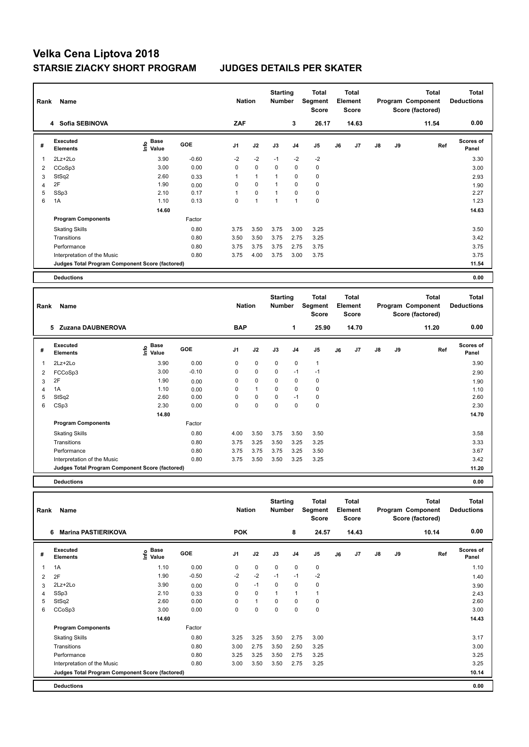# **Velka Cena Liptova 2018 STARSIE ZIACKY SHORT PROGRAM JUDGES DETAILS PER SKATER**

|   | Rank<br>Name                                    |                           |            |      | <b>Nation</b>  |              | <b>Starting</b><br><b>Number</b> | <b>Total</b><br>Segment<br><b>Score</b> | <b>Total</b><br>Element<br>Score |       |               |    | <b>Total</b><br>Program Component<br>Score (factored) | <b>Total</b><br><b>Deductions</b> |
|---|-------------------------------------------------|---------------------------|------------|------|----------------|--------------|----------------------------------|-----------------------------------------|----------------------------------|-------|---------------|----|-------------------------------------------------------|-----------------------------------|
|   | 4 Sofia SEBINOVA                                |                           |            | ZAF  |                |              | 3                                | 26.17                                   |                                  | 14.63 |               |    | 11.54                                                 | 0.00                              |
| # | Executed<br><b>Elements</b>                     | Base<br>o Base<br>⊆ Value | <b>GOE</b> | J1   | J2             | J3           | J <sub>4</sub>                   | J <sub>5</sub>                          | J6                               | J7    | $\mathsf{J}8$ | J9 | Ref                                                   | <b>Scores of</b><br>Panel         |
| 1 | $2Lz + 2Lo$                                     | 3.90                      | $-0.60$    | $-2$ | $-2$           | $-1$         | $-2$                             | $-2$                                    |                                  |       |               |    |                                                       | 3.30                              |
| 2 | CCoSp3                                          | 3.00                      | 0.00       | 0    | $\mathbf 0$    | $\Omega$     | 0                                | $\mathbf 0$                             |                                  |       |               |    |                                                       | 3.00                              |
| 3 | StSq2                                           | 2.60                      | 0.33       | 1    | $\mathbf{1}$   | $\mathbf{1}$ | 0                                | 0                                       |                                  |       |               |    |                                                       | 2.93                              |
| 4 | 2F                                              | 1.90                      | 0.00       | 0    | $\mathbf 0$    | $\mathbf{1}$ | $\mathbf 0$                      | $\mathbf 0$                             |                                  |       |               |    |                                                       | 1.90                              |
| 5 | SSp3                                            | 2.10                      | 0.17       | 1    | $\pmb{0}$      | $\mathbf{1}$ | 0                                | 0                                       |                                  |       |               |    |                                                       | 2.27                              |
| 6 | 1A                                              | 1.10                      | 0.13       | 0    | $\overline{1}$ | 1            | 1                                | $\mathbf 0$                             |                                  |       |               |    |                                                       | 1.23                              |
|   |                                                 | 14.60                     |            |      |                |              |                                  |                                         |                                  |       |               |    |                                                       | 14.63                             |
|   | <b>Program Components</b>                       |                           | Factor     |      |                |              |                                  |                                         |                                  |       |               |    |                                                       |                                   |
|   | <b>Skating Skills</b>                           |                           | 0.80       | 3.75 | 3.50           | 3.75         | 3.00                             | 3.25                                    |                                  |       |               |    |                                                       | 3.50                              |
|   | Transitions                                     |                           | 0.80       | 3.50 | 3.50           | 3.75         | 2.75                             | 3.25                                    |                                  |       |               |    |                                                       | 3.42                              |
|   | Performance                                     |                           | 0.80       | 3.75 | 3.75           | 3.75         | 2.75                             | 3.75                                    |                                  |       |               |    |                                                       | 3.75                              |
|   | Interpretation of the Music                     |                           | 0.80       | 3.75 | 4.00           | 3.75         | 3.00                             | 3.75                                    |                                  |       |               |    |                                                       | 3.75                              |
|   | Judges Total Program Component Score (factored) |                           |            |      |                |              |                                  |                                         |                                  |       |               |    |                                                       | 11.54                             |
|   | <b>Deductions</b>                               |                           |            |      |                |              |                                  |                                         |                                  |       |               |    |                                                       | 0.00                              |

| Name<br>Rank |                                                 |                                             |            | <b>Nation</b>  |              | <b>Starting</b><br><b>Number</b> |                | <b>Total</b><br>Segment<br><b>Score</b> | Total<br>Element<br><b>Score</b> |                |    |    | <b>Total</b><br>Program Component<br>Score (factored) | <b>Total</b><br><b>Deductions</b> |
|--------------|-------------------------------------------------|---------------------------------------------|------------|----------------|--------------|----------------------------------|----------------|-----------------------------------------|----------------------------------|----------------|----|----|-------------------------------------------------------|-----------------------------------|
|              | Zuzana DAUBNEROVA<br>5                          |                                             |            | <b>BAP</b>     |              |                                  | 1              | 25.90                                   |                                  | 14.70          |    |    | 11.20                                                 | 0.00                              |
| #            | <b>Executed</b><br><b>Elements</b>              | <b>Base</b><br>e <sup>Base</sup><br>⊆ Value | <b>GOE</b> | J <sub>1</sub> | J2           | J3                               | J <sub>4</sub> | J5                                      | J6                               | J <sub>7</sub> | J8 | J9 | Ref                                                   | <b>Scores of</b><br>Panel         |
| 1            | 2Lz+2Lo                                         | 3.90                                        | 0.00       | 0              | $\mathbf 0$  | $\mathbf 0$                      | $\mathbf 0$    | $\mathbf{1}$                            |                                  |                |    |    |                                                       | 3.90                              |
| 2            | FCCoSp3                                         | 3.00                                        | $-0.10$    | 0              | $\mathbf 0$  | $\mathbf 0$                      | $-1$           | $-1$                                    |                                  |                |    |    |                                                       | 2.90                              |
| 3            | 2F                                              | 1.90                                        | 0.00       | 0              | $\mathbf 0$  | 0                                | $\mathbf 0$    | 0                                       |                                  |                |    |    |                                                       | 1.90                              |
| 4            | 1A                                              | 1.10                                        | 0.00       | $\Omega$       | $\mathbf{1}$ | $\Omega$                         | $\mathbf 0$    | $\mathbf 0$                             |                                  |                |    |    |                                                       | 1.10                              |
| 5            | StSq2                                           | 2.60                                        | 0.00       | 0              | 0            | 0                                | $-1$           | 0                                       |                                  |                |    |    |                                                       | 2.60                              |
| 6            | CSp3                                            | 2.30                                        | 0.00       | 0              | $\mathbf 0$  | 0                                | 0              | 0                                       |                                  |                |    |    |                                                       | 2.30                              |
|              |                                                 | 14.80                                       |            |                |              |                                  |                |                                         |                                  |                |    |    |                                                       | 14.70                             |
|              | <b>Program Components</b>                       |                                             | Factor     |                |              |                                  |                |                                         |                                  |                |    |    |                                                       |                                   |
|              | <b>Skating Skills</b>                           |                                             | 0.80       | 4.00           | 3.50         | 3.75                             | 3.50           | 3.50                                    |                                  |                |    |    |                                                       | 3.58                              |
|              | Transitions                                     |                                             | 0.80       | 3.75           | 3.25         | 3.50                             | 3.25           | 3.25                                    |                                  |                |    |    |                                                       | 3.33                              |
|              | Performance                                     |                                             | 0.80       | 3.75           | 3.75         | 3.75                             | 3.25           | 3.50                                    |                                  |                |    |    |                                                       | 3.67                              |
|              | Interpretation of the Music                     |                                             | 0.80       | 3.75           | 3.50         | 3.50                             | 3.25           | 3.25                                    |                                  |                |    |    |                                                       | 3.42                              |
|              | Judges Total Program Component Score (factored) |                                             |            |                |              |                                  |                |                                         |                                  |                |    |    |                                                       | 11.20                             |
|              |                                                 |                                             |            |                |              |                                  |                |                                         |                                  |                |    |    |                                                       |                                   |

**Deductions 0.00**

| Rank | Name                                            |                                    |         | <b>Nation</b>  |              | <b>Starting</b><br><b>Number</b> |                | <b>Total</b><br>Segment<br><b>Score</b> |    | <b>Total</b><br>Element<br><b>Score</b> |               |    | <b>Total</b><br>Program Component<br>Score (factored) | <b>Total</b><br><b>Deductions</b> |
|------|-------------------------------------------------|------------------------------------|---------|----------------|--------------|----------------------------------|----------------|-----------------------------------------|----|-----------------------------------------|---------------|----|-------------------------------------------------------|-----------------------------------|
|      | <b>Marina PASTIERIKOVA</b><br>6                 |                                    |         | <b>POK</b>     |              |                                  | 8              | 24.57                                   |    | 14.43                                   |               |    | 10.14                                                 | 0.00                              |
| #    | Executed<br><b>Elements</b>                     | <b>Base</b><br>$\frac{6}{5}$ Value | GOE     | J <sub>1</sub> | J2           | J3                               | J <sub>4</sub> | J <sub>5</sub>                          | J6 | J7                                      | $\mathsf{J}8$ | J9 | Ref                                                   | <b>Scores of</b><br>Panel         |
|      | 1A                                              | 1.10                               | 0.00    | 0              | $\mathbf 0$  | $\mathbf 0$                      | 0              | 0                                       |    |                                         |               |    |                                                       | 1.10                              |
| 2    | 2F                                              | 1.90                               | $-0.50$ | $-2$           | $-2$         | $-1$                             | $-1$           | $-2$                                    |    |                                         |               |    |                                                       | 1.40                              |
| 3    | $2Lz+2Lo$                                       | 3.90                               | 0.00    | 0              | $-1$         | $\Omega$                         | $\mathbf 0$    | 0                                       |    |                                         |               |    |                                                       | 3.90                              |
| 4    | SSp3                                            | 2.10                               | 0.33    | 0              | $\mathbf 0$  | 1                                | $\overline{1}$ |                                         |    |                                         |               |    |                                                       | 2.43                              |
| 5    | StSq2                                           | 2.60                               | 0.00    | 0              | $\mathbf{1}$ | 0                                | 0              | 0                                       |    |                                         |               |    |                                                       | 2.60                              |
| 6    | CCoSp3                                          | 3.00                               | 0.00    | 0              | 0            | 0                                | 0              | 0                                       |    |                                         |               |    |                                                       | 3.00                              |
|      |                                                 | 14.60                              |         |                |              |                                  |                |                                         |    |                                         |               |    |                                                       | 14.43                             |
|      | <b>Program Components</b>                       |                                    | Factor  |                |              |                                  |                |                                         |    |                                         |               |    |                                                       |                                   |
|      | <b>Skating Skills</b>                           |                                    | 0.80    | 3.25           | 3.25         | 3.50                             | 2.75           | 3.00                                    |    |                                         |               |    |                                                       | 3.17                              |
|      | Transitions                                     |                                    | 0.80    | 3.00           | 2.75         | 3.50                             | 2.50           | 3.25                                    |    |                                         |               |    |                                                       | 3.00                              |
|      | Performance                                     |                                    | 0.80    | 3.25           | 3.25         | 3.50                             | 2.75           | 3.25                                    |    |                                         |               |    |                                                       | 3.25                              |
|      | Interpretation of the Music                     |                                    | 0.80    | 3.00           | 3.50         | 3.50                             | 2.75           | 3.25                                    |    |                                         |               |    |                                                       | 3.25                              |
|      | Judges Total Program Component Score (factored) |                                    |         |                |              |                                  |                |                                         |    |                                         |               |    |                                                       | 10.14                             |
|      | <b>Deductions</b>                               |                                    |         |                |              |                                  |                |                                         |    |                                         |               |    |                                                       | 0.00                              |